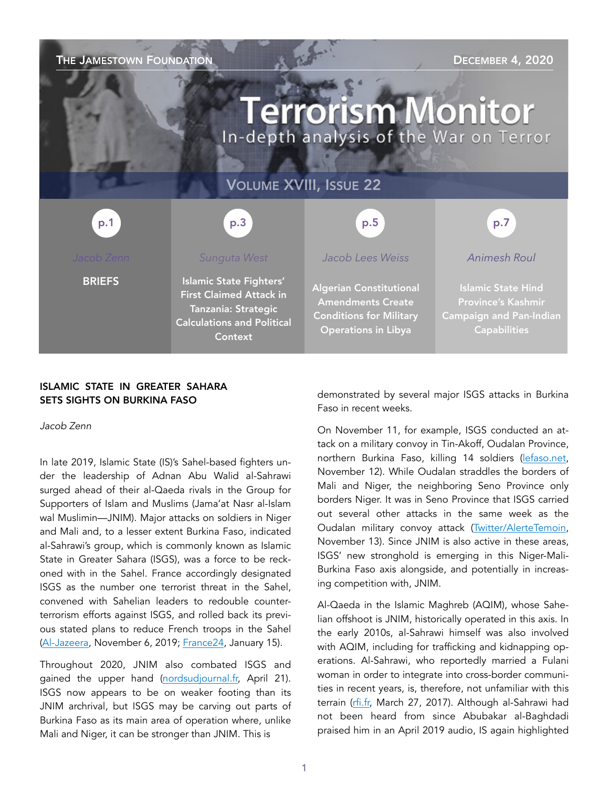| THE JAMESTOWN FOUNDATION                                           |                                                                                                                                                |                                                                                                                            | <b>DECEMBER 4, 2020</b>                                                                                         |
|--------------------------------------------------------------------|------------------------------------------------------------------------------------------------------------------------------------------------|----------------------------------------------------------------------------------------------------------------------------|-----------------------------------------------------------------------------------------------------------------|
| <b>Terrorism Monitor</b><br>In-depth analysis of the War on Terror |                                                                                                                                                |                                                                                                                            |                                                                                                                 |
| <b>VOLUME XVIII, ISSUE 22</b>                                      |                                                                                                                                                |                                                                                                                            |                                                                                                                 |
| p.1                                                                | p.3                                                                                                                                            | p.5                                                                                                                        | p.7                                                                                                             |
| Jacob Zenn                                                         | Sunguta West                                                                                                                                   | Jacob Lees Weiss                                                                                                           | <b>Animesh Roul</b>                                                                                             |
| <b>BRIEFS</b>                                                      | <b>Islamic State Fighters'</b><br><b>First Claimed Attack in</b><br><b>Tanzania: Strategic</b><br><b>Calculations and Political</b><br>Context | <b>Algerian Constitutional</b><br><b>Amendments Create</b><br><b>Conditions for Military</b><br><b>Operations in Libya</b> | <b>Islamic State Hind</b><br><b>Province's Kashmir</b><br><b>Campaign and Pan-Indian</b><br><b>Capabilities</b> |

# ISLAMIC STATE IN GREATER SAHARA SETS SIGHTS ON BURKINA FASO

*Jacob Zenn* 

In late 2019, Islamic State (IS)'s Sahel-based fighters under the leadership of Adnan Abu Walid al-Sahrawi surged ahead of their al-Qaeda rivals in the Group for Supporters of Islam and Muslims (Jama'at Nasr al-Islam wal Muslimin—JNIM). Major attacks on soldiers in Niger and Mali and, to a lesser extent Burkina Faso, indicated al-Sahrawi's group, which is commonly known as Islamic State in Greater Sahara (ISGS), was a force to be reckoned with in the Sahel. France accordingly designated ISGS as the number one terrorist threat in the Sahel, convened with Sahelian leaders to redouble counterterrorism efforts against ISGS, and rolled back its previous stated plans to reduce French troops in the Sahel ([Al-Jazeera](https://www.aljazeera.com/news/2020/11/6/france-to-reduce-troop-presence-in-conflict-hit-sahel), November 6, 2019; [France24](https://www.france24.com/en/20200115-islamic-state-replaces-al-qaeda-as-enemy-no-1-in-sahel), January 15).

Throughout 2020, JNIM also combated ISGS and gained the upper hand ([nordsudjournal.fr](https://www.nordsudjournal.fr/mali-burkina-le-jnim-reussi-un-gros-coup-contre-leigs-dans-le-gourma-et-pres-de-la-frontiere-mali-burkina/), April 21). ISGS now appears to be on weaker footing than its JNIM archrival, but ISGS may be carving out parts of Burkina Faso as its main area of operation where, unlike Mali and Niger, it can be stronger than JNIM. This is

demonstrated by several major ISGS attacks in Burkina Faso in recent weeks.

On November 11, for example, ISGS conducted an attack on a military convoy in Tin-Akoff, Oudalan Province, northern Burkina Faso, killing 14 soldiers ([lefaso.net](https://lefaso.net/spip.php?article100665), November 12). While Oudalan straddles the borders of Mali and Niger, the neighboring Seno Province only borders Niger. It was in Seno Province that ISGS carried out several other attacks in the same week as the Oudalan military convoy attack [\(Twitter/AlerteTemoin](https://twitter.com/AlerteTemoin/status/1327193465294295041), November 13). Since JNIM is also active in these areas, ISGS' new stronghold is emerging in this Niger-Mali-Burkina Faso axis alongside, and potentially in increasing competition with, JNIM.

Al-Qaeda in the Islamic Maghreb (AQIM), whose Sahelian offshoot is JNIM, historically operated in this axis. In the early 2010s, al-Sahrawi himself was also involved with AQIM, including for trafficking and kidnapping operations. Al-Sahrawi, who reportedly married a Fulani woman in order to integrate into cross-border communities in recent years, is, therefore, not unfamiliar with this terrain ([rfi.fr,](http://rfi.fr/emission/20170317-une-daech-menace-afrique-france-campagne-hamon/) March 27, 2017). Although al-Sahrawi had not been heard from since Abubakar al-Baghdadi praised him in an April 2019 audio, IS again highlighted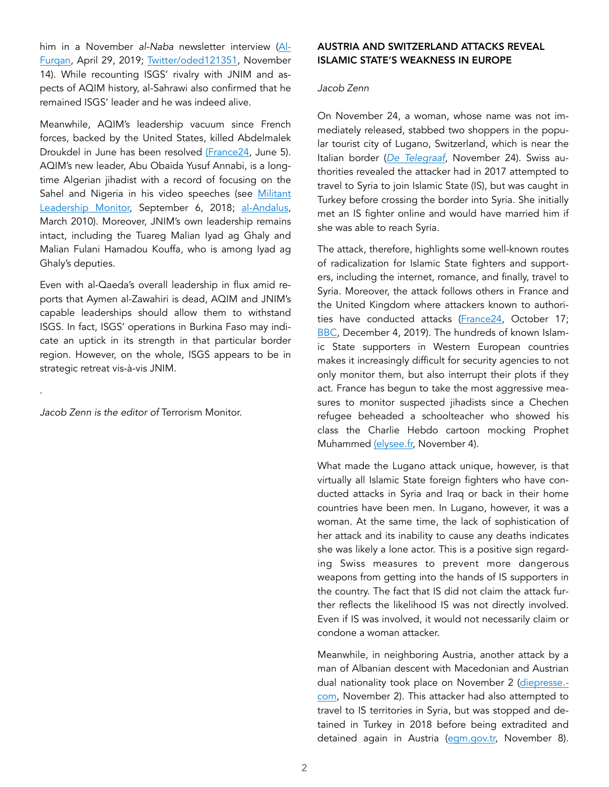him in a November *al-Naba* newsletter interview [\(Al-](https://unmaskingbokoharam.com/2019/05/19/al-furqan-in-the-company-of-the-amir-of-the-believers-april-29-2019/)[Furqan](https://unmaskingbokoharam.com/2019/05/19/al-furqan-in-the-company-of-the-amir-of-the-believers-april-29-2019/), April 29, 2019; [Twitter/oded121351,](https://twitter.com/Oded121351/status/1327515492748242944) November 14). While recounting ISGS' rivalry with JNIM and aspects of AQIM history, al-Sahrawi also confirmed that he remained ISGS' leader and he was indeed alive.

Meanwhile, AQIM's leadership vacuum since French forces, backed by the United States, killed Abdelmalek Droukdel in June has been resolved [\(France24,](https://www.france24.com/en/20200605-french-forces-kill-al-qaeda-s-north-africa-chief-in-mali-ministry-says) June 5). AQIM's new leader, Abu Obaida Yusuf Annabi, is a longtime Algerian jihadist with a record of focusing on the Sahel and Nigeria in his video speeches (see Militant [Leadership Monitor,](https://jamestown.org/program/abou-obeida-youssef-al-annabi-the-ideological-leader-of-aqim/?mc_cid=7fe00a24f6&mc_eid=bfe1f947e3) September 6, 2018; [al-Andalus,](https://unmaskingbokoharam.com/2019/05/03/aqim-al-andalus-audio-message-addressed-to-the-people-and-rulers-of-the-sahel-and-sub-saharan-africa-by-abu-ubaydah-yusuf-march-2010/) March 2010). Moreover, JNIM's own leadership remains intact, including the Tuareg Malian Iyad ag Ghaly and Malian Fulani Hamadou Kouffa, who is among Iyad ag Ghaly's deputies.

Even with al-Qaeda's overall leadership in flux amid reports that Aymen al-Zawahiri is dead, AQIM and JNIM's capable leaderships should allow them to withstand ISGS. In fact, ISGS' operations in Burkina Faso may indicate an uptick in its strength in that particular border region. However, on the whole, ISGS appears to be in strategic retreat vis-à-vis JNIM.

*Jacob Zenn is the editor of* Terrorism Monitor.

.

# AUSTRIA AND SWITZERLAND ATTACKS REVEAL ISLAMIC STATE'S WEAKNESS IN EUROPE

### *Jacob Zenn*

On November 24, a woman, whose name was not immediately released, stabbed two shoppers in the popular tourist city of Lugano, Switzerland, which is near the Italian border (*[De Telegraaf](https://www.telegraaf.nl/nieuws/206750846/terreurdaad-vrouw-met-mes-steekt-twee-mensen-neer-in-zwitsers-warenhuis)*, November 24). Swiss authorities revealed the attacker had in 2017 attempted to travel to Syria to join Islamic State (IS), but was caught in Turkey before crossing the border into Syria. She initially met an IS fighter online and would have married him if she was able to reach Syria.

The attack, therefore, highlights some well-known routes of radicalization for Islamic State fighters and supporters, including the internet, romance, and finally, travel to Syria. Moreover, the attack follows others in France and the United Kingdom where attackers known to authorities have conducted attacks ([France24,](https://www.france24.com/en/live-news/20201017-chechen-18-suspected-of-beheading-teacher-in-france) October 17; [BBC,](https://www.bbc.co.uk/news/uk-50653191) December 4, 2019). The hundreds of known Islamic State supporters in Western European countries makes it increasingly difficult for security agencies to not only monitor them, but also interrupt their plots if they act. France has begun to take the most aggressive measures to monitor suspected jihadists since a Chechen refugee beheaded a schoolteacher who showed his class the Charlie Hebdo cartoon mocking Prophet Muhammed [\(elysee.fr,](https://www.elysee.fr/emmanuel-macron/2020/11/04/la-france-se-bat-contre-le-separatisme-islamiste-jamais-contre-islam) November 4).

What made the Lugano attack unique, however, is that virtually all Islamic State foreign fighters who have conducted attacks in Syria and Iraq or back in their home countries have been men. In Lugano, however, it was a woman. At the same time, the lack of sophistication of her attack and its inability to cause any deaths indicates she was likely a lone actor. This is a positive sign regarding Swiss measures to prevent more dangerous weapons from getting into the hands of IS supporters in the country. The fact that IS did not claim the attack further reflects the likelihood IS was not directly involved. Even if IS was involved, it would not necessarily claim or condone a woman attacker.

Meanwhile, in neighboring Austria, another attack by a man of Albanian descent with Macedonian and Austrian dual nationality took place on November 2 ([diepresse.](https://www.diepresse.com/5891708/terror-in-wien-attentater-im-dezember-aus-haft-entlassen) [com,](https://www.diepresse.com/5891708/terror-in-wien-attentater-im-dezember-aus-haft-entlassen) November 2). This attacker had also attempted to travel to IS territories in Syria, but was stopped and detained in Turkey in 2018 before being extradited and detained again in Austria [\(egm.gov.tr,](https://www.egm.gov.tr/viyana-saldirisini-gerceklestiren-teroristin-turkiyeden-sinir-disi-edildigi-ortaya-cikti) November 8).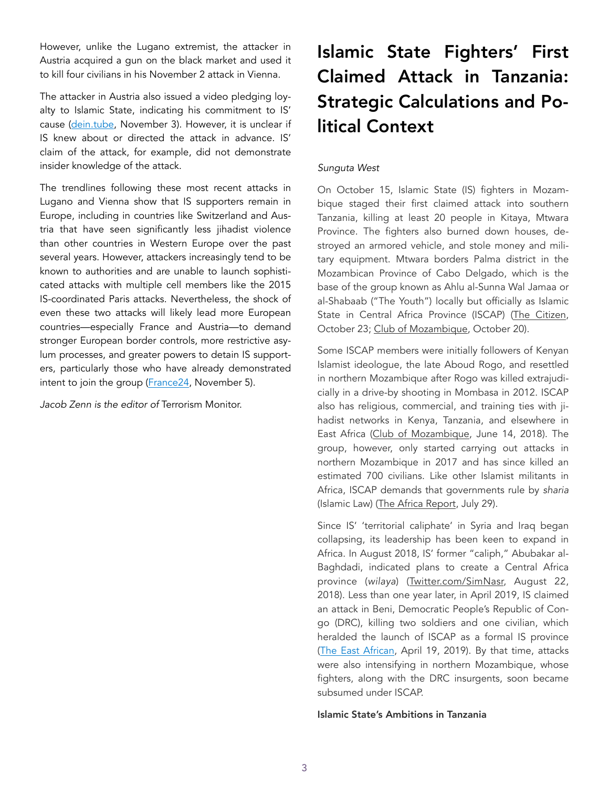However, unlike the Lugano extremist, the attacker in Austria acquired a gun on the black market and used it to kill four civilians in his November 2 attack in Vienna.

The attacker in Austria also issued a video pledging loyalty to Islamic State, indicating his commitment to IS' cause ([dein.tube,](https://dein.tube/watch/7Zy7fWU2peiftZU) November 3). However, it is unclear if IS knew about or directed the attack in advance. IS' claim of the attack, for example, did not demonstrate insider knowledge of the attack.

The trendlines following these most recent attacks in Lugano and Vienna show that IS supporters remain in Europe, including in countries like Switzerland and Austria that have seen significantly less jihadist violence than other countries in Western Europe over the past several years. However, attackers increasingly tend to be known to authorities and are unable to launch sophisticated attacks with multiple cell members like the 2015 IS-coordinated Paris attacks. Nevertheless, the shock of even these two attacks will likely lead more European countries—especially France and Austria—to demand stronger European border controls, more restrictive asylum processes, and greater powers to detain IS supporters, particularly those who have already demonstrated intent to join the group [\(France24](https://www.france24.com/en/france/20201105-macron-urges-europe-to-strengthen-border-controls-after-terror-attacks), November 5).

*Jacob Zenn is the editor of* Terrorism Monitor.

# Islamic State Fighters' First Claimed Attack in Tanzania: Strategic Calculations and Political Context

# *Sunguta West*

On October 15, Islamic State (IS) fighters in Mozambique staged their first claimed attack into southern Tanzania, killing at least 20 people in Kitaya, Mtwara Province. The fighters also burned down houses, destroyed an armored vehicle, and stole money and military equipment. Mtwara borders Palma district in the Mozambican Province of Cabo Delgado, which is the base of the group known as Ahlu al-Sunna Wal Jamaa or al-Shabaab ("The Youth") locally but officially as Islamic State in Central Africa Province (ISCAP) [\(The Citizen](https://www.thecitizen.co.tz/tanzania/news/tanzania-confirms-terror-attacks-at-border-village-of-kitaya-2719902%22%20%5Cl%20%22inbox/_blank), October 23; [Club of Mozambique](https://clubofmozambique.com/news/cabo-delgado-terrorists-attack-tanzania-aim-report-174503/%22%20%5Cl%20%22inbox/_blank), October 20).

Some ISCAP members were initially followers of Kenyan Islamist ideologue, the late Aboud Rogo, and resettled in northern Mozambique after Rogo was killed extrajudicially in a drive-by shooting in Mombasa in 2012. ISCAP also has religious, commercial, and training ties with jihadist networks in Kenya, Tanzania, and elsewhere in East Africa ([Club of Mozambique](https://clubofmozambique.com/news/analysis-is-another-boko-haram-or-al-shabaab-erupting-in-mozambique-by-peter-fabricius/%22%20%5Cl%20%22inbox/_blank), June 14, 2018). The group, however, only started carrying out attacks in northern Mozambique in 2017 and has since killed an estimated 700 civilians. Like other Islamist militants in Africa, ISCAP demands that governments rule by *sharia* (Islamic Law) [\(The Africa Report](https://www.theafricareport.com/35435/mozambique-can-cabo-delgados-islamist-insurgency-be-stopped/%22%20%5Cl%20%22inbox/_blank), July 29).

Since IS' 'territorial caliphate' in Syria and Iraq began collapsing, its leadership has been keen to expand in Africa. In August 2018, IS' former "caliph," Abubakar al-Baghdadi, indicated plans to create a Central Africa province (*wilaya*) ([Twitter.com/SimNasr,](https://twitter.com/SimNasr/status/1119161605650915328) August 22, 2018). Less than one year later, in April 2019, IS claimed an attack in Beni, Democratic People's Republic of Congo (DRC), killing two soldiers and one civilian, which heralded the launch of ISCAP as a formal IS province ([The East African,](https://www.theeastafrican.co.ke/tea/news/rest-of-africa/islamic-state-claims-its-first-dr-congo-attack-1416194) April 19, 2019). By that time, attacks were also intensifying in northern Mozambique, whose fighters, along with the DRC insurgents, soon became subsumed under ISCAP.

## Islamic State's Ambitions in Tanzania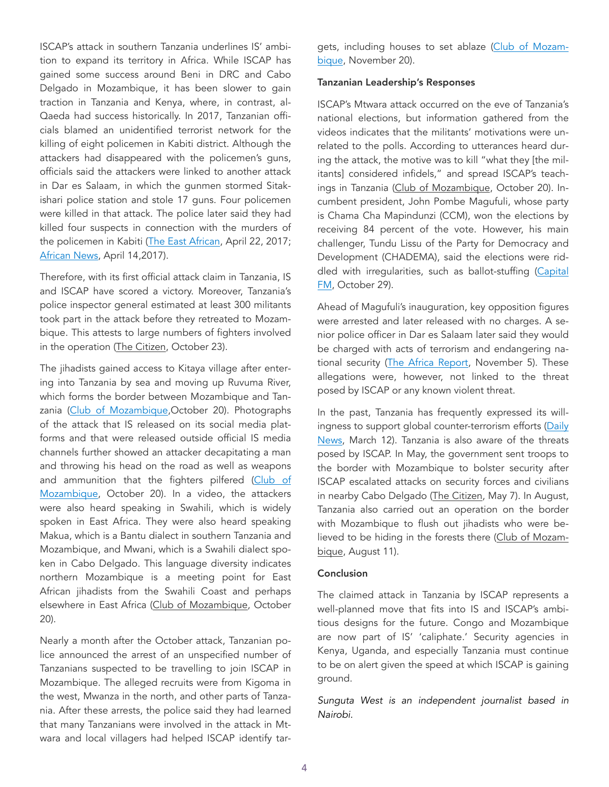ISCAP's attack in southern Tanzania underlines IS' ambition to expand its territory in Africa. While ISCAP has gained some success around Beni in DRC and Cabo Delgado in Mozambique, it has been slower to gain traction in Tanzania and Kenya, where, in contrast, al-Qaeda had success historically. In 2017, Tanzanian officials blamed an unidentified terrorist network for the killing of eight policemen in Kabiti district. Although the attackers had disappeared with the policemen's guns, officials said the attackers were linked to another attack in Dar es Salaam, in which the gunmen stormed Sitakishari police station and stole 17 guns. Four policemen were killed in that attack. The police later said they had killed four suspects in connection with the murders of the policemen in Kabiti ([The East African](https://webcache.googleusercontent.com/search?q=cache:o1Br2e_OynYJ:https://www.theeastafrican.co.ke/tea/news/east-africa/dar-on-high-alert-over-terror-attack-claims-1364968+&cd=8&hl=en&ct=clnk&gl=ke), April 22, 2017; [African News,](https://www.africanews.com/2017/04/14/tanzanian-police-gun-down-4-suspected-cop-killers-after-thursday-s-attack/) April 14,2017).

Therefore, with its first official attack claim in Tanzania, IS and ISCAP have scored a victory. Moreover, Tanzania's police inspector general estimated at least 300 militants took part in the attack before they retreated to Mozambique. This attests to large numbers of fighters involved in the operation ([The Citizen,](https://www.thecitizen.co.tz/tanzania/news/tanzania-confirms-terror-attacks-at-border-village-of-kitaya-2719902%22%20%5Cl%20%22inbox/_blank) October 23).

The jihadists gained access to Kitaya village after entering into Tanzania by sea and moving up Ruvuma River, which forms the border between Mozambique and Tanzania [\(Club of Mozambique,](https://clubofmozambique.com/news/cabo-delgado-terrorists-attack-tanzania-aim-report-174503/)October 20). Photographs of the attack that IS released on its social media platforms and that were released outside official IS media channels further showed an attacker decapitating a man and throwing his head on the road as well as weapons and ammunition that the fighters pilfered [\(Club of](https://clubofmozambique.com/news/cabo-delgado-terrorists-attack-tanzania-aim-report-174503/)  [Mozambique,](https://clubofmozambique.com/news/cabo-delgado-terrorists-attack-tanzania-aim-report-174503/) October 20). In a video, the attackers were also heard speaking in Swahili, which is widely spoken in East Africa. They were also heard speaking Makua, which is a Bantu dialect in southern Tanzania and Mozambique, and Mwani, which is a Swahili dialect spoken in Cabo Delgado. This language diversity indicates northern Mozambique is a meeting point for East African jihadists from the Swahili Coast and perhaps elsewhere in East Africa ([Club of Mozambique](https://clubofmozambique.com/news/cabo-delgado-terrorists-attack-tanzania-aim-report-174503/%22%20%5Cl%20%22inbox/_blank), October 20).

Nearly a month after the October attack, Tanzanian police announced the arrest of an unspecified number of Tanzanians suspected to be travelling to join ISCAP in Mozambique. The alleged recruits were from Kigoma in the west, Mwanza in the north, and other parts of Tanzania. After these arrests, the police said they had learned that many Tanzanians were involved in the attack in Mtwara and local villagers had helped ISCAP identify tar-

gets, including houses to set ablaze [\(Club of Mozam](https://clubofmozambique.com/news/tanzania-detains-people-trying-to-join-islamist-insurgency-in-mozambique-coming-from-kigoma-mwanza-and-elsewhere-177880/)[bique](https://clubofmozambique.com/news/tanzania-detains-people-trying-to-join-islamist-insurgency-in-mozambique-coming-from-kigoma-mwanza-and-elsewhere-177880/), November 20).

### Tanzanian Leadership's Responses

ISCAP's Mtwara attack occurred on the eve of Tanzania's national elections, but information gathered from the videos indicates that the militants' motivations were unrelated to the polls. According to utterances heard during the attack, the motive was to kill "what they [the militants] considered infidels," and spread ISCAP's teachings in Tanzania [\(Club of Mozambique,](https://clubofmozambique.com/news/cabo-delgado-terrorists-attack-tanzania-aim-report-174503/%22%20%5Cl%20%22inbox/_blank) October 20). Incumbent president, John Pombe Magufuli, whose party is Chama Cha Mapindunzi (CCM), won the elections by receiving 84 percent of the vote. However, his main challenger, Tundu Lissu of the Party for Democracy and Development (CHADEMA), said the elections were riddled with irregularities, such as ballot-stuffing [\(Capital](https://www.capitalfm.co.ke/news/2020/10/tanzanias-opposition-candidate-says-wont-accept-election-results/) [FM,](https://www.capitalfm.co.ke/news/2020/10/tanzanias-opposition-candidate-says-wont-accept-election-results/) October 29).

Ahead of Magufuli's inauguration, key opposition figures were arrested and later released with no charges. A senior police officer in Dar es Salaam later said they would be charged with acts of terrorism and endangering national security ([The Africa Report,](https://www.theafricareport.com/49290/tanzania-dark-days-ahead-says-opposition-as-magufuli-sworn-in-for-second-term/) November 5). These allegations were, however, not linked to the threat posed by ISCAP or any known violent threat.

In the past, Tanzania has frequently expressed its willingness to support global counter-terrorism efforts ([Daily](https://dailynews.co.tz/news/2020-03-125e69bd8d2ba5c.aspx) [News](https://dailynews.co.tz/news/2020-03-125e69bd8d2ba5c.aspx), March 12). Tanzania is also aware of the threats posed by ISCAP. In May, the government sent troops to the border with Mozambique to bolster security after ISCAP escalated attacks on security forces and civilians in nearby Cabo Delgado ([The Citizen](https://www.thecitizen.co.tz/tanzania/news/tanzania-deploys-troops-at-the-mozambique-border-2708836%22%20%5Cl%20%22inbox/_blank), May 7). In August, Tanzania also carried out an operation on the border with Mozambique to flush out jihadists who were believed to be hiding in the forests there [\(Club of Mozam](https://clubofmozambique.com/news/tanzania-defence-forces-to-launch-a-manhunt-along-the-border-with-mozambique-report-168509/%22%20%5Cl%20%22inbox/_blank)[bique](https://clubofmozambique.com/news/tanzania-defence-forces-to-launch-a-manhunt-along-the-border-with-mozambique-report-168509/%22%20%5Cl%20%22inbox/_blank), August 11).

## Conclusion

The claimed attack in Tanzania by ISCAP represents a well-planned move that fits into IS and ISCAP's ambitious designs for the future. Congo and Mozambique are now part of IS' 'caliphate.' Security agencies in Kenya, Uganda, and especially Tanzania must continue to be on alert given the speed at which ISCAP is gaining ground.

*Sunguta West is an independent journalist based in Nairobi.*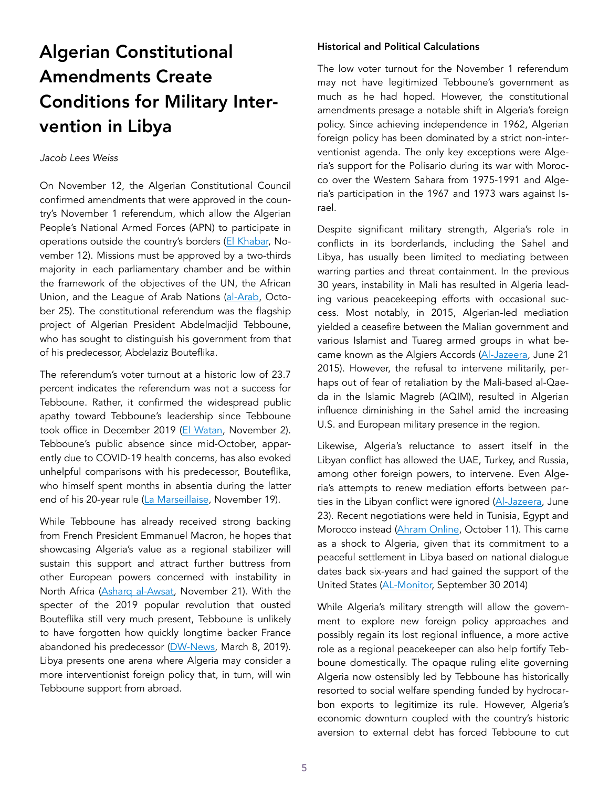# Algerian Constitutional Amendments Create Conditions for Military Intervention in Libya

#### *Jacob Lees Weiss*

On November 12, the Algerian Constitutional Council confirmed amendments that were approved in the country's November 1 referendum, which allow the Algerian People's National Armed Forces (APN) to participate in operations outside the country's borders [\(El Khabar,](https://www.elkhabar.com/press/article/176349/%D8%A5%D8%B9%D9%84%D8%A7%D9%86-%D8%A7%D9%84%D9%86%D8%AA%D8%A7%D8%A6%D8%AC-%D8%A7%D9%84%D9%86%D9%87%D8%A7%D8%A6%D9%8A%D8%A9-%D9%84%D9%84%D8%A7%D8%B3%D8%AA%D9%81%D8%AA%D8%A7%D8%A1-%D8%B9%D9%84%D9%89-/) November 12). Missions must be approved by a two-thirds majority in each parliamentary chamber and be within the framework of the objectives of the UN, the African Union, and the League of Arab Nations ([al-Arab](https://alarab.co.uk/%D9%82%D9%8A%D8%A7%D8%AF%D8%A9-%D8%A7%D9%84%D8%AC%D9%8A%D8%B4-%D8%A7%D9%84%D8%AC%D8%B2%D8%A7%D8%A6%D8%B1%D9%8A-%D8%AA%D8%AC%D8%A7%D9%87%D8%B1-%D8%A8%D8%A7%D8%B3%D8%AA%D8%B9%D8%AF%D8%A7%D8%AF%D9%87%D8%A7-%D9%84%D9%84%D8%A7%D9%86%D8%AE%D8%B1%D8%A7%D8%B7-%D9%81%D9%8A-%D8%A7%D9%84%D9%85%D9%87%D8%A7%D9%85-%D8%A7%D9%84%D8%AF%D9%88%D9%84%D9%8A%D8%A9), October 25). The constitutional referendum was the flagship project of Algerian President Abdelmadjid Tebboune, who has sought to distinguish his government from that of his predecessor, Abdelaziz Bouteflika.

The referendum's voter turnout at a historic low of 23.7 percent indicates the referendum was not a success for Tebboune. Rather, it confirmed the widespread public apathy toward Tebboune's leadership since Tebboune took office in December 2019 [\(El Watan,](https://www.elwatan.com/edition/actualite/un-referendum-sans-engouement-02-11-2020) November 2). Tebboune's public absence since mid-October, apparently due to COVID-19 health concerns, has also evoked unhelpful comparisons with his predecessor, Bouteflika, who himself spent months in absentia during the latter end of his 20-year rule [\(La Marseillaise,](https://www.lamarseillaise.fr/international/un-president-malade-et-absent-l-algerie-connait-EK5369237) November 19).

While Tebboune has already received strong backing from French President Emmanuel Macron, he hopes that showcasing Algeria's value as a regional stabilizer will sustain this support and attract further buttress from other European powers concerned with instability in North Africa ([Asharq al-Awsat,](https://english.aawsat.com/home/article/2637976/macron-backs-algeria%E2%80%99s-tebboune-successful-political-transition) November 21). With the specter of the 2019 popular revolution that ousted Bouteflika still very much present, Tebboune is unlikely to have forgotten how quickly longtime backer France abandoned his predecessor [\(DW-News](https://www.dw.com/en/as-algeria-protests-grow-france-keeps-a-silent-watchful-eye/a-47825078), March 8, 2019). Libya presents one arena where Algeria may consider a more interventionist foreign policy that, in turn, will win Tebboune support from abroad.

## Historical and Political Calculations

The low voter turnout for the November 1 referendum may not have legitimized Tebboune's government as much as he had hoped. However, the constitutional amendments presage a notable shift in Algeria's foreign policy. Since achieving independence in 1962, Algerian foreign policy has been dominated by a strict non-interventionist agenda. The only key exceptions were Algeria's support for the Polisario during its war with Morocco over the Western Sahara from 1975-1991 and Algeria's participation in the 1967 and 1973 wars against Israel.

Despite significant military strength, Algeria's role in conflicts in its borderlands, including the Sahel and Libya, has usually been limited to mediating between warring parties and threat containment. In the previous 30 years, instability in Mali has resulted in Algeria leading various peacekeeping efforts with occasional success. Most notably, in 2015, Algerian-led mediation yielded a ceasefire between the Malian government and various Islamist and Tuareg armed groups in what became known as the Algiers Accords [\(Al-Jazeera,](https://www.aljazeera.com/news/2015/6/21/malian-rivals-sign-peace-deal) June 21 2015). However, the refusal to intervene militarily, perhaps out of fear of retaliation by the Mali-based al-Qaeda in the Islamic Magreb (AQIM), resulted in Algerian influence diminishing in the Sahel amid the increasing U.S. and European military presence in the region.

Likewise, Algeria's reluctance to assert itself in the Libyan conflict has allowed the UAE, Turkey, and Russia, among other foreign powers, to intervene. Even Algeria's attempts to renew mediation efforts between par-ties in the Libyan conflict were ignored [\(Al-Jazeera,](https://www.aljazeera.com/news/2020/6/23/algeria-steps-up-diplomacy-in-hopes-of-ending-libyas-war) June 23). Recent negotiations were held in Tunisia, Egypt and Morocco instead ([Ahram Online,](http://english.ahram.org.eg/NewsContent/2/8/388106/World/Region/Tunisia-to-host-Libya%E2%80%99s-%E2%80%98political-and-military-ta.aspx) October 11). This came as a shock to Algeria, given that its commitment to a peaceful settlement in Libya based on national dialogue dates back six-years and had gained the support of the United States [\(AL-Monitor,](https://www.al-monitor.com/pulse/originals/2014/09/algeria-reject-foreign-intervention-libya.html) September 30 2014)

While Algeria's military strength will allow the government to explore new foreign policy approaches and possibly regain its lost regional influence, a more active role as a regional peacekeeper can also help fortify Tebboune domestically. The opaque ruling elite governing Algeria now ostensibly led by Tebboune has historically resorted to social welfare spending funded by hydrocarbon exports to legitimize its rule. However, Algeria's economic downturn coupled with the country's historic aversion to external debt has forced Tebboune to cut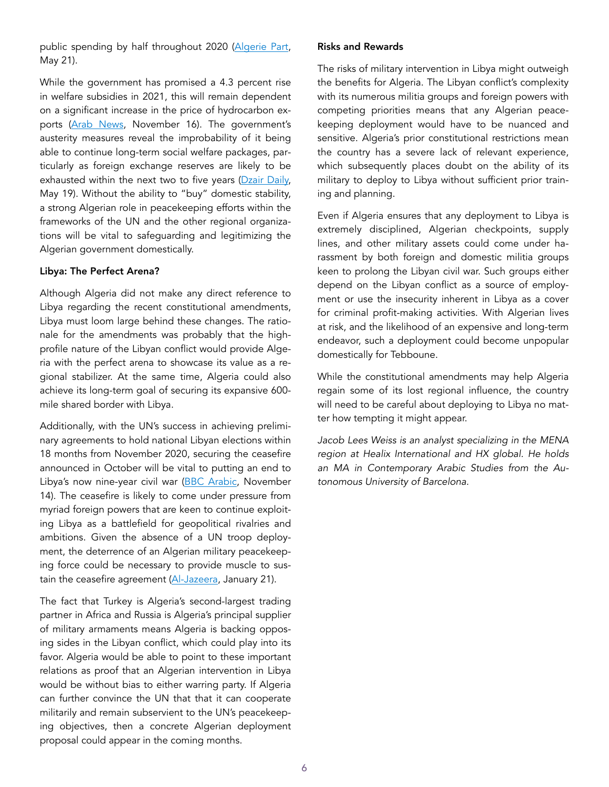public spending by half throughout 2020 ([Algerie Part,](https://algeriepartplus.com/letat-algerien-reduit-de-50-son-budget-de-fonctionnement-2020-encore-une-annonce-qui-ne-pourra-jamais-etre-concretisee/) May 21).

While the government has promised a 4.3 percent rise in welfare subsidies in 2021, this will remain dependent on a significant increase in the price of hydrocarbon ex-ports ([Arab News](https://www.arabnews.com/node/1764036), November 16). The government's austerity measures reveal the improbability of it being able to continue long-term social welfare packages, particularly as foreign exchange reserves are likely to be exhausted within the next two to five years (Dzair Daily, May 19). Without the ability to "buy" domestic stability, a strong Algerian role in peacekeeping efforts within the frameworks of the UN and the other regional organizations will be vital to safeguarding and legitimizing the Algerian government domestically.

### Libya: The Perfect Arena?

Although Algeria did not make any direct reference to Libya regarding the recent constitutional amendments, Libya must loom large behind these changes. The rationale for the amendments was probably that the highprofile nature of the Libyan conflict would provide Algeria with the perfect arena to showcase its value as a regional stabilizer. At the same time, Algeria could also achieve its long-term goal of securing its expansive 600 mile shared border with Libya.

Additionally, with the UN's success in achieving preliminary agreements to hold national Libyan elections within 18 months from November 2020, securing the ceasefire announced in October will be vital to putting an end to Libya's now nine-year civil war ([BBC Arabic](https://www.bbc.com/arabic/middleeast-54940228), November 14). The ceasefire is likely to come under pressure from myriad foreign powers that are keen to continue exploiting Libya as a battlefield for geopolitical rivalries and ambitions. Given the absence of a UN troop deployment, the deterrence of an Algerian military peacekeeping force could be necessary to provide muscle to sus-tain the ceasefire agreement ([Al-Jazeera](https://www.aljazeera.com/news/2020/1/21/uns-top-libya-envoy-ghassan-salame-opposes-un-troop-deployment), January 21).

The fact that Turkey is Algeria's second-largest trading partner in Africa and Russia is Algeria's principal supplier of military armaments means Algeria is backing opposing sides in the Libyan conflict, which could play into its favor. Algeria would be able to point to these important relations as proof that an Algerian intervention in Libya would be without bias to either warring party. If Algeria can further convince the UN that that it can cooperate militarily and remain subservient to the UN's peacekeeping objectives, then a concrete Algerian deployment proposal could appear in the coming months.

### Risks and Rewards

The risks of military intervention in Libya might outweigh the benefits for Algeria. The Libyan conflict's complexity with its numerous militia groups and foreign powers with competing priorities means that any Algerian peacekeeping deployment would have to be nuanced and sensitive. Algeria's prior constitutional restrictions mean the country has a severe lack of relevant experience, which subsequently places doubt on the ability of its military to deploy to Libya without sufficient prior training and planning.

Even if Algeria ensures that any deployment to Libya is extremely disciplined, Algerian checkpoints, supply lines, and other military assets could come under harassment by both foreign and domestic militia groups keen to prolong the Libyan civil war. Such groups either depend on the Libyan conflict as a source of employment or use the insecurity inherent in Libya as a cover for criminal profit-making activities. With Algerian lives at risk, and the likelihood of an expensive and long-term endeavor, such a deployment could become unpopular domestically for Tebboune.

While the constitutional amendments may help Algeria regain some of its lost regional influence, the country will need to be careful about deploying to Libya no matter how tempting it might appear.

*Jacob Lees Weiss is an analyst specializing in the MENA region at Healix International and HX global. He holds an MA in Contemporary Arabic Studies from the Autonomous University of Barcelona.*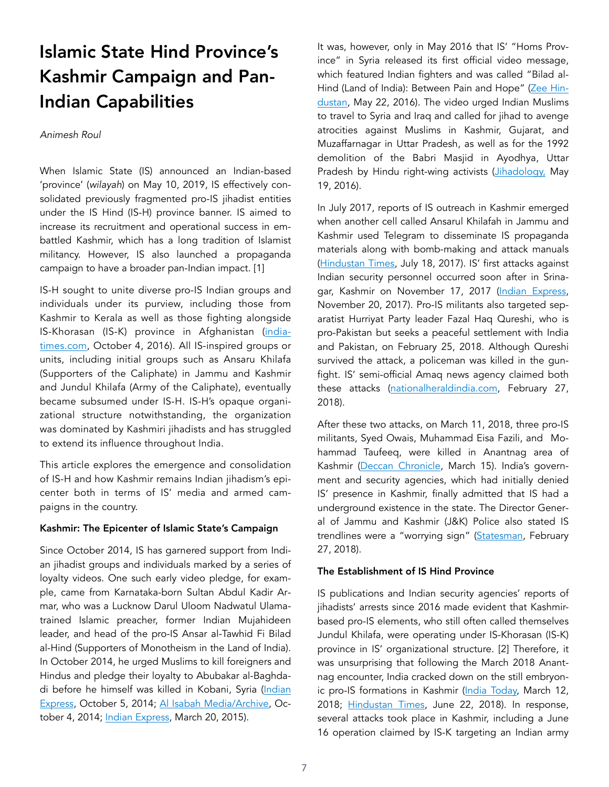# Islamic State Hind Province's Kashmir Campaign and Pan-Indian Capabilities

#### *Animesh Roul*

When Islamic State (IS) announced an Indian-based 'province' (*wilayah*) on May 10, 2019, IS effectively consolidated previously fragmented pro-IS jihadist entities under the IS Hind (IS-H) province banner. IS aimed to increase its recruitment and operational success in embattled Kashmir, which has a long tradition of Islamist militancy. However, IS also launched a propaganda campaign to have a broader pan-Indian impact. [1]

IS-H sought to unite diverse pro-IS Indian groups and individuals under its purview, including those from Kashmir to Kerala as well as those fighting alongside IS-Khorasan (IS-K) province in Afghanistan [\(india](https://www.indiatimes.com/news/india/ansar-ul-khilafah-the-isis-module-busted-in-kerala-was-under-nia-scanner-for-four-months-262950.html)[times.com](https://www.indiatimes.com/news/india/ansar-ul-khilafah-the-isis-module-busted-in-kerala-was-under-nia-scanner-for-four-months-262950.html), October 4, 2016). All IS-inspired groups or units, including initial groups such as Ansaru Khilafa (Supporters of the Caliphate) in Jammu and Kashmir and Jundul Khilafa (Army of the Caliphate), eventually became subsumed under IS-H. IS-H's opaque organizational structure notwithstanding, the organization was dominated by Kashmiri jihadists and has struggled to extend its influence throughout India.

This article explores the emergence and consolidation of IS-H and how Kashmir remains Indian jihadism's epicenter both in terms of IS' media and armed campaigns in the country.

### Kashmir: The Epicenter of Islamic State's Campaign

Since October 2014, IS has garnered support from Indian jihadist groups and individuals marked by a series of loyalty videos. One such early video pledge, for example, came from Karnataka-born Sultan Abdul Kadir Armar, who was a Lucknow Darul Uloom Nadwatul Ulamatrained Islamic preacher, former Indian Mujahideen leader, and head of the pro-IS Ansar al-Tawhid Fi Bilad al-Hind (Supporters of Monotheism in the Land of India). In October 2014, he urged Muslims to kill foreigners and Hindus and pledge their loyalty to Abubakar al-Baghdadi before he himself was killed in Kobani, Syria [\(Indian](https://indianexpress.com/article/india/india-others/indian-jihadist-group-calls-for-attacks-on-western-nationals/)  [Express](https://indianexpress.com/article/india/india-others/indian-jihadist-group-calls-for-attacks-on-western-nationals/), October 5, 2014; [Al Isabah Media/Archive](https://archive.org/details/KhilafataurHumariZimmedariya), October 4, 2014; [Indian Express](https://indianexpress.com/article/india/india-others/karnataka-man-killed-in-kobane-a-key-figure-in-indian-jihadist-network/), March 20, 2015).

It was, however, only in May 2016 that IS' "Homs Province" in Syria released its first official video message, which featured Indian fighters and was called "Bilad al-Hind (Land of India): Between Pain and Hope" ([Zee Hin](https://youtu.be/Rbnzj4C4rZY)[dustan](https://youtu.be/Rbnzj4C4rZY), May 22, 2016). The video urged Indian Muslims to travel to Syria and Iraq and called for jihad to avenge atrocities against Muslims in Kashmir, Gujarat, and Muzaffarnagar in Uttar Pradesh, as well as for the 1992 demolition of the Babri Masjid in Ayodhya, Uttar Pradesh by Hindu right-wing activists ([Jihadology,](https://jihadology.net/2016/05/19/new-video-message-from-the-islamic-state-the-land-of-india-between-pain-and-hope-wilayat-) May 19, 2016).

In July 2017, reports of IS outreach in Kashmir emerged when another cell called Ansarul Khilafah in Jammu and Kashmir used Telegram to disseminate IS propaganda materials along with bomb-making and attack manuals ([Hindustan Times,](https://www.hindustantimes.com/india-news/islamic-state-supporters-create-kashmir-group-to-step-up-presence-in-india-give-instructions-on-nice-like-attack/story-5DMUzpbw8ge7EB1pIlKJYO.html) July 18, 2017). IS' first attacks against Indian security personnel occurred soon after in Srina-gar, Kashmir on November 17, 2017 [\(Indian Express](http://indianexpress.com/article/india/islamic-state-claims-responsibility-for-attack-near-srinagar-jk-police-rule-it-out-4945506/), November 20, 2017). Pro-IS militants also targeted separatist Hurriyat Party leader Fazal Haq Qureshi, who is pro-Pakistan but seeks a peaceful settlement with India and Pakistan, on February 25, 2018. Although Qureshi survived the attack, a policeman was killed in the gunfight. IS' semi-official Amaq news agency claimed both these attacks ([nationalheraldindia.com](https://www.nationalheraldindia.com/regional/kashmir-islamic-state-claims-responsibility-of-soura-attack), February 27, 2018).

After these two attacks, on March 11, 2018, three pro-IS militants, Syed Owais, Muhammad Eisa Fazili, and Mohammad Taufeeq, were killed in Anantnag area of Kashmir [\(Deccan Chronicle](https://www.deccanchronicle.com/nation/current-affairs/150318/telangana-man-among-3-isis-militants-killed-in-srinagar-encounter-pol.html), March 15). India's government and security agencies, which had initially denied IS' presence in Kashmir, finally admitted that IS had a underground existence in the state. The Director General of Jammu and Kashmir (J&K) Police also stated IS trendlines were a "worrying sign" [\(Statesman,](https://www.thestatesman.com/india/police-admit-isis-presence-in-j-k-as-islamic-state-claims-responsibility-for-killing-cop-1502592817.html) February 27, 2018).

#### The Establishment of IS Hind Province

IS publications and Indian security agencies' reports of jihadists' arrests since 2016 made evident that Kashmirbased pro-IS elements, who still often called themselves Jundul Khilafa, were operating under IS-Khorasan (IS-K) province in IS' organizational structure. [2] Therefore, it was unsurprising that following the March 2018 Anantnag encounter, India cracked down on the still embryon-ic pro-IS formations in Kashmir ([India Today,](https://www.indiatoday.in/india/story/militants-killed-in-encounter-were-islamic-state-commanders-1187569-2018-03-12) March 12, 2018; [Hindustan Times](https://www.hindustantimes.com/india-news/gunfight-breaks-out-between-security-forces-militants-in-jammu-and-kashmir-s-anantnag/story-oCWZ8AdREp6bz4aeTQpLMM.html), June 22, 2018). In response, several attacks took place in Kashmir, including a June 16 operation claimed by IS-K targeting an Indian army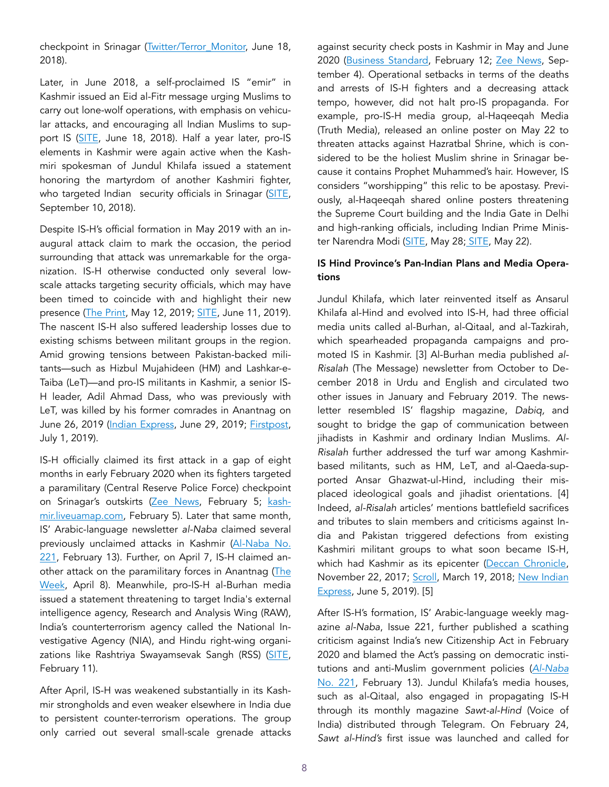checkpoint in Srinagar ([Twitter/Terror\\_Monitor,](https://twitter.com/Terror_Monitor/status/1008506256200355841) June 18, 2018).

Later, in June 2018, a self-proclaimed IS "emir" in Kashmir issued an Eid al-Fitr message urging Muslims to carry out lone-wolf operations, with emphasis on vehicular attacks, and encouraging all Indian Muslims to support IS ([SITE,](https://ent.siteintelgroup.com/Statements/self-proclaimed-emir-of-is-in-kashmir-urges-indian-muslims-to-execute-vehicular-attacks-lone-wolf-ops-in-eid-al-fitr-message.html) June 18, 2018). Half a year later, pro-IS elements in Kashmir were again active when the Kashmiri spokesman of Jundul Khilafa issued a statement honoring the martyrdom of another Kashmiri fighter, who targeted Indian security officials in Srinagar [\(SITE,](https://ent.siteintelgroup.com/Statements/is-claims-killing-indian-intelligence-official-in-kashmir.html) September 10, 2018).

Despite IS-H's official formation in May 2019 with an inaugural attack claim to mark the occasion, the period surrounding that attack was unremarkable for the organization. IS-H otherwise conducted only several lowscale attacks targeting security officials, which may have been timed to coincide with and highlight their new presence [\(The Print](https://theprint.in/india/isis-announces-new-province-in-india-after-2-days-of-clashes-in-kashmir/234385/), May 12, 2019; [SITE](https://news.siteintelgroup.com/Jihadist-News/while-is-hind-province-reports-enemy-injuries-in-attack-in-kashmir-supporters-mourn-killed-fighters.html), June 11, 2019). The nascent IS-H also suffered leadership losses due to existing schisms between militant groups in the region. Amid growing tensions between Pakistan-backed militants—such as Hizbul Mujahideen (HM) and Lashkar-e-Taiba (LeT)—and pro-IS militants in Kashmir, a senior IS-H leader, Adil Ahmad Dass, who was previously with LeT, was killed by his former comrades in Anantnag on June 26, 2019 [\(Indian Express](https://indianexpress.com/article/india/jk-clash-among-militant-groups-exposes-rift-in-valley-5805832/), June 29, 2019; [Firstpost,](https://www.firstpost.com/india/in-chilling-warning-to-let-hm-in-kashmir-islamic-state-affiliate-warns-it-will-feel-no-weakness-in-slaying-these-enemies-of-islam-6909941.html) July 1, 2019).

IS-H officially claimed its first attack in a gap of eight months in early February 2020 when its fighters targeted a paramilitary (Central Reserve Police Force) checkpoint on Srinagar's outskirts [\(Zee News](https://zeenews.india.com/india/islamic-state-claims-terrorist-attack-on-security-forces-in-jammu-and-kashmirs-srinagar-2261779.html), February 5; [kash](https://kashmir.liveuamap.com/en/2020/5-february-in-its-1st-attack-claim-in-8-months-isis-issued)[mir.liveuamap.com,](https://kashmir.liveuamap.com/en/2020/5-february-in-its-1st-attack-claim-in-8-months-isis-issued) February 5). Later that same month, IS' Arabic-language newsletter *al-Naba* claimed several previously unclaimed attacks in Kashmir [\(Al-Naba No.](https://jihadology.net/wp-content/uploads/_pda/2020/02/The-Islamic-State-al-Nab%C3%A2)  [221,](https://jihadology.net/wp-content/uploads/_pda/2020/02/The-Islamic-State-al-Nab%C3%A2) February 13). Further, on April 7, IS-H claimed another attack on the paramilitary forces in Anantnag (The [Week](https://www.theweek.in/news/india/2020/04/08/isis-claims-responsibility-for-attack-on-crpf-in-south-kashmir.html), April 8). Meanwhile, pro-IS-H al-Burhan media issued a statement threatening to target India's external intelligence agency, Research and Analysis Wing (RAW), India's counterterrorism agency called the National Investigative Agency (NIA), and Hindu right-wing organi-zations like Rashtriya Swayamsevak Sangh (RSS) [\(SITE,](https://news.siteintelgroup.com/Jihadist-News/jundul-khilafah-hind-media-unit-calls-for-attacks-on-intelligence-agencies-and-hindus-in-india.html) February 11).

After April, IS-H was weakened substantially in its Kashmir strongholds and even weaker elsewhere in India due to persistent counter-terrorism operations. The group only carried out several small-scale grenade attacks against security check posts in Kashmir in May and June 2020 [\(Business Standard,](https://www.business-standard.com/article/pti-stories/police-bust-isjk-module-five-held-120021201628_1.html) February 12; [Zee News,](https://zeenews.india.com/india/jk-police-arrests-five-isjk-terrorists-for-martyring-bsf-jawans-in-srinagar-seize-four-vehicles-2307518.html) September 4). Operational setbacks in terms of the deaths and arrests of IS-H fighters and a decreasing attack tempo, however, did not halt pro-IS propaganda. For example, pro-IS-H media group, al-Haqeeqah Media (Truth Media), released an online poster on May 22 to threaten attacks against Hazratbal Shrine, which is considered to be the holiest Muslim shrine in Srinagar because it contains Prophet Muhammed's hair. However, IS considers "worshipping" this relic to be apostasy. Previously, al-Haqeeqah shared online posters threatening the Supreme Court building and the India Gate in Delhi and high-ranking officials, including Indian Prime Minis-ter Narendra Modi ([SITE,](https://news.siteintelgroup.com/Jihadist-News/kashmir-shrine-threatened-by-is-group.html) May 28; [SITE](https://news.siteintelgroup.com/Jihadist-News/is-aligned-india-centric-group-calls-for-attacks-in-the-region.html), May 22).

## IS Hind Province's Pan-Indian Plans and Media Operations

Jundul Khilafa, which later reinvented itself as Ansarul Khilafa al-Hind and evolved into IS-H, had three official media units called al-Burhan, al-Qitaal, and al-Tazkirah, which spearheaded propaganda campaigns and promoted IS in Kashmir. [3] Al-Burhan media published *al-Risalah* (The Message) newsletter from October to December 2018 in Urdu and English and circulated two other issues in January and February 2019. The newsletter resembled IS' flagship magazine, *Dabiq,* and sought to bridge the gap of communication between jihadists in Kashmir and ordinary Indian Muslims. *Al-Risalah* further addressed the turf war among Kashmirbased militants, such as HM, LeT, and al-Qaeda-supported Ansar Ghazwat-ul-Hind, including their misplaced ideological goals and jihadist orientations. [4] Indeed, *al-Risalah* articles' mentions battlefield sacrifices and tributes to slain members and criticisms against India and Pakistan triggered defections from existing Kashmiri militant groups to what soon became IS-H, which had Kashmir as its epicenter ([Deccan Chronicle](https://www.deccanchronicle.com/nation/in-other-news/221117/has-isis-succeeded-in-making-inroads-in-kashmir.html), November 22, 2017; [Scroll](https://scroll.in/article/872365/from-srinagar-a-new-crop-of-militants-who-kill-and-die-in-the-name-of-religion-not-politics), March 19, 2018; [New Indian](https://www.newindianexpress.com/nation/2019/jun/05/masked-men-carrying-isis-flags-mark-post-eid-prayers-on-jammu-and-kashmir-streets-1986348.html) [Express](https://www.newindianexpress.com/nation/2019/jun/05/masked-men-carrying-isis-flags-mark-post-eid-prayers-on-jammu-and-kashmir-streets-1986348.html), June 5, 2019). [5]

After IS-H's formation, IS' Arabic-language weekly magazine *al-Naba*, Issue 221, further published a scathing criticism against India's new Citizenship Act in February 2020 and blamed the Act's passing on democratic institutions and anti-Muslim government policies (*Al-Naba* No. 221, February 13). Jundul Khilafa's media houses, such as al-Qitaal, also engaged in propagating IS-H through its monthly magazine *Sawt-al-Hind* (Voice of India) distributed through Telegram. On February 24, *Sawt al-Hind's* first issue was launched and called for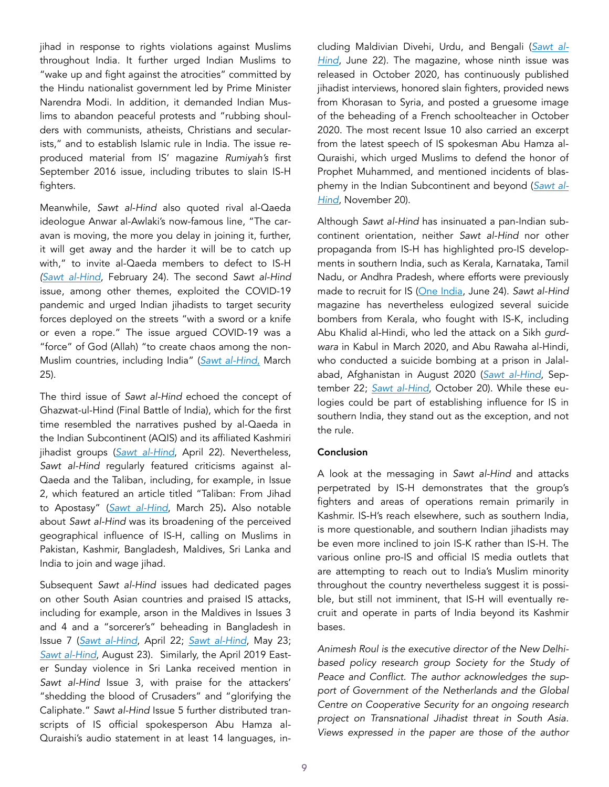jihad in response to rights violations against Muslims throughout India. It further urged Indian Muslims to "wake up and fight against the atrocities" committed by the Hindu nationalist government led by Prime Minister Narendra Modi. In addition, it demanded Indian Muslims to abandon peaceful protests and "rubbing shoulders with communists, atheists, Christians and secularists," and to establish Islamic rule in India. The issue reproduced material from IS' magazine *Rumiyah's* first September 2016 issue, including tributes to slain IS-H fighters.

Meanwhile, *Sawt al-Hind* also quoted rival al-Qaeda ideologue Anwar al-Awlaki's now-famous line, "The caravan is moving, the more you delay in joining it, further, it will get away and the harder it will be to catch up with," to invite al-Qaeda members to defect to IS-H *([Sawt al-Hind](https://jihadology.net/2020/02/24/new-issue-of-the-magazine-)*, February 24). The second *Sawt al-Hind* issue, among other themes, exploited the COVID-19 pandemic and urged Indian jihadists to target security forces deployed on the streets "with a sword or a knife or even a rope." The issue argued COVID-19 was a "force" of God (Allah) "to create chaos among the non-Muslim countries, including India" (*[Sawt al-Hind](https://jihadology.net/2020/03/25/new-issue-of-the-magazine-)*, March 25).

The third issue of *Sawt al-Hind* echoed the concept of Ghazwat-ul-Hind (Final Battle of India), which for the first time resembled the narratives pushed by al-Qaeda in the Indian Subcontinent (AQIS) and its affiliated Kashmiri jihadist groups (*[Sawt al-Hind](https://jihadology.net/2020/04/22/new-issue-of-the-magazine-%e1%b9%a3awt-al-al-hind-3/)*, April 22). Nevertheless, *Sawt al-Hind* regularly featured criticisms against al-Qaeda and the Taliban, including, for example, in Issue 2, which featured an article titled "Taliban: From Jihad to Apostasy" (*[Sawt al-Hind](https://jihadology.net/2020/03/25/new-issue-of-the-magazine-)*, March 25). Also notable about *Sawt al-Hind* was its broadening of the perceived geographical influence of IS-H, calling on Muslims in Pakistan, Kashmir, Bangladesh, Maldives, Sri Lanka and India to join and wage jihad.

Subsequent *Sawt al-Hind* issues had dedicated pages on other South Asian countries and praised IS attacks, including for example, arson in the Maldives in Issues 3 and 4 and a "sorcerer's" beheading in Bangladesh in Issue 7 (*[Sawt al-Hind](https://jihadology.net/2020/04/22/new-issue-of-the-magazine-%e1%b9%a3awt-al-al-hind-3/)*, April 22; *[Sawt al-Hind](https://jihadology.net/2020/05/23/new-issue-of-the-magazine-%e1%b9%a3awt-al-hind-4/)*, May 23; *[Sawt al-Hind](https://jihadology.net/2020/08/23/new-issue-of-the-magazine-%e1%b9%a3awt-al-hind-7/)*, August 23). Similarly, the April 2019 Easter Sunday violence in Sri Lanka received mention in *Sawt al-Hind* Issue 3, with praise for the attackers' "shedding the blood of Crusaders" and "glorifying the Caliphate." *Sawt al-Hind* Issue 5 further distributed transcripts of IS official spokesperson Abu Hamza al-Quraishi's audio statement in at least 14 languages, including Maldivian Divehi, Urdu, and Bengali (*[Sawt al-](https://jihadology.net/2020/06/22/new-issue-of-the-magazine-%e1%b9%a3awt-al-hind-5/)[Hind](https://jihadology.net/2020/06/22/new-issue-of-the-magazine-%e1%b9%a3awt-al-hind-5/)*, June 22). The magazine, whose ninth issue was released in October 2020, has continuously published jihadist interviews, honored slain fighters, provided news from Khorasan to Syria, and posted a gruesome image of the beheading of a French schoolteacher in October 2020. The most recent Issue 10 also carried an excerpt from the latest speech of IS spokesman Abu Hamza al-Quraishi, which urged Muslims to defend the honor of Prophet Muhammed, and mentioned incidents of blasphemy in the Indian Subcontinent and beyond (*[Sawt al-](https://jihadology.net/2020/11/20/new-issue-of-the-magazine-%e1%b9%a3awt-al-hind-10/)[Hind](https://jihadology.net/2020/11/20/new-issue-of-the-magazine-%e1%b9%a3awt-al-hind-10/)*, November 20).

Although *Sawt al-Hind* has insinuated a pan-Indian subcontinent orientation, neither *Sawt al-Hind* nor other propaganda from IS-H has highlighted pro-IS developments in southern India, such as Kerala, Karnataka, Tamil Nadu, or Andhra Pradesh, where efforts were previously made to recruit for IS ([One India](https://www.oneindia.com/india/chennai-isis-module-members-were-in-process-of-setting-up-wilayah-in-south-indian-forests-3109697.html), June 24). *Sawt al-Hind* magazine has nevertheless eulogized several suicide bombers from Kerala, who fought with IS-K, including Abu Khalid al-Hindi, who led the attack on a Sikh *gurdwara* in Kabul in March 2020, and Abu Rawaha al-Hindi, who conducted a suicide bombing at a prison in Jalalabad, Afghanistan in August 2020 (*[Sawt al-Hind](https://jihadology.net/2020/09/22/new-issue-of-the-magazine-%e1%b9%a3awt-al-hind-8/)*, September 22; *[Sawt al-Hind](https://jihadology.net/2020/10/20/new-issue-of-the-magazine-%e1%b9%a3awt-al-hind-9/)*, October 20). While these eulogies could be part of establishing influence for IS in southern India, they stand out as the exception, and not the rule.

## Conclusion

A look at the messaging in *Sawt al-Hind* and attacks perpetrated by IS-H demonstrates that the group's fighters and areas of operations remain primarily in Kashmir. IS-H's reach elsewhere, such as southern India, is more questionable, and southern Indian jihadists may be even more inclined to join IS-K rather than IS-H. The various online pro-IS and official IS media outlets that are attempting to reach out to India's Muslim minority throughout the country nevertheless suggest it is possible, but still not imminent, that IS-H will eventually recruit and operate in parts of India beyond its Kashmir bases.

*Animesh Roul is the executive director of the New Delhibased policy research group Society for the Study of Peace and Conflict. The author acknowledges the support of Government of the Netherlands and the Global Centre on Cooperative Security for an ongoing research project on Transnational Jihadist threat in South Asia. Views expressed in the paper are those of the author*